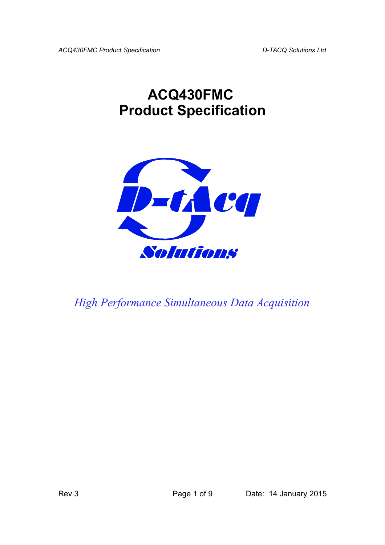*ACQ430FMC Product Specification D-TACQ Solutions Ltd*

## **ACQ430FMC Product Specification**



*High Performance Simultaneous Data Acquisition*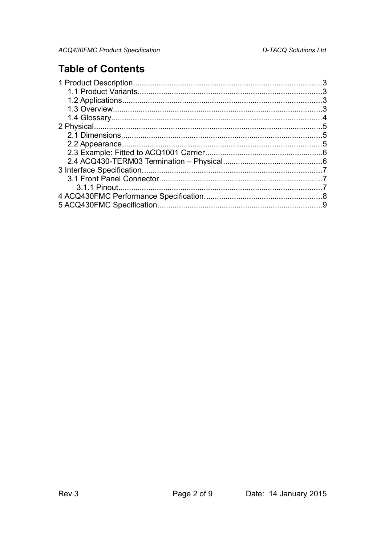## **Table of Contents**

| 4 |
|---|
|   |
|   |
|   |
|   |
|   |
|   |
|   |
|   |
|   |
|   |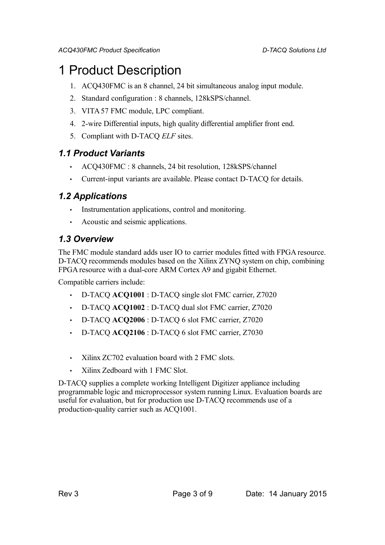## 1 Product Description

- 1. ACQ430FMC is an 8 channel, 24 bit simultaneous analog input module.
- 2. Standard configuration : 8 channels, 128kSPS/channel.
- 3. VITA 57 FMC module, LPC compliant.
- 4. 2-wire Differential inputs, high quality differential amplifier front end.
- 5. Compliant with D-TACQ *ELF* sites.

### *1.1 Product Variants*

- ACQ430FMC : 8 channels, 24 bit resolution, 128kSPS/channel
- Current-input variants are available. Please contact D-TACQ for details.

### *1.2 Applications*

- Instrumentation applications, control and monitoring.
- Acoustic and seismic applications.

### *1.3 Overview*

The FMC module standard adds user IO to carrier modules fitted with FPGA resource. D-TACQ recommends modules based on the Xilinx ZYNQ system on chip, combining FPGA resource with a dual-core ARM Cortex A9 and gigabit Ethernet.

Compatible carriers include:

- D-TACQ **ACQ1001** : D-TACQ single slot FMC carrier, Z7020
- D-TACQ **ACQ1002** : D-TACQ dual slot FMC carrier, Z7020
- D-TACQ **ACQ2006** : D-TACQ 6 slot FMC carrier, Z7020
- D-TACQ **ACQ2106** : D-TACQ 6 slot FMC carrier, Z7030
- Xilinx ZC702 evaluation board with 2 FMC slots.
- Xilinx Zedboard with 1 FMC Slot.

D-TACQ supplies a complete working Intelligent Digitizer appliance including programmable logic and microprocessor system running Linux. Evaluation boards are useful for evaluation, but for production use D-TACQ recommends use of a production-quality carrier such as ACQ1001.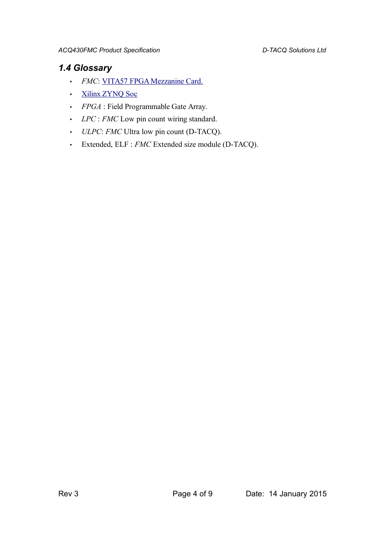## *1.4 Glossary*

- *FMC*: [VITA57 FPGA Mezzanine Card.](http://www.vita.com/fmc.html)
- [Xilinx ZYNQ Soc](http://www.xilinx.com/products/silicon-devices/soc/zynq-7000/index.htm)
- *FPGA* : Field Programmable Gate Array.
- *LPC* : *FMC* Low pin count wiring standard.
- *ULPC*: *FMC* Ultra low pin count (D-TACQ).
- Extended, ELF : *FMC* Extended size module (D-TACQ).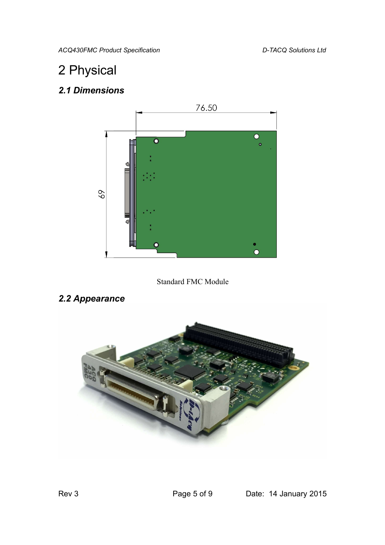*ACQ430FMC Product Specification D-TACQ Solutions Ltd*

## 2 Physical

## *2.1 Dimensions*



Standard FMC Module

## *2.2 Appearance*

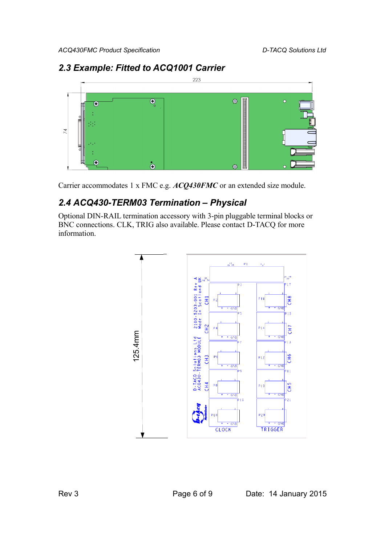### 223  $\overline{\mathbb{O}}$  $\circledcirc$  $\widehat{\mathbf{G}}$  $\mathcal{L}_{\mathcal{A}}$ 74  $\overline{G}$  $\stackrel{\bullet}{\bm{\odot}}$  $\circledcirc$

### *2.3 Example: Fitted to ACQ1001 Carrier*

Carrier accommodates 1 x FMC e.g. *ACQ430FMC* or an extended size module.

### *2.4 ACQ430-TERM03 Termination – Physical*

Optional DIN-RAIL termination accessory with 3-pin pluggable terminal blocks or BNC connections. CLK, TRIG also available. Please contact D-TACQ for more information.

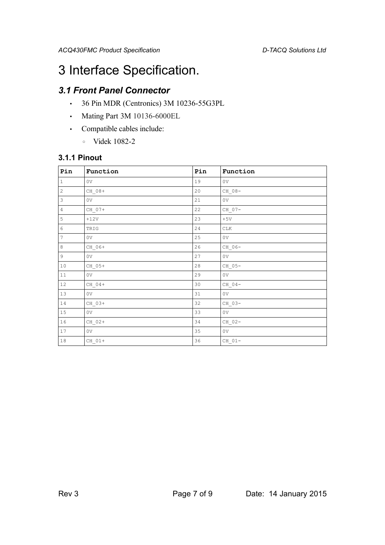## 3 Interface Specification.

## *3.1 Front Panel Connector*

- 36 Pin MDR (Centronics) 3M 10236-55G3PL
- Mating Part 3M 10136-6000EL
- Compatible cables include:
	- Videk 1082-2

#### **3.1.1 Pinout**

| Pin                       | Function           | Pin    | Function       |
|---------------------------|--------------------|--------|----------------|
| $\,1\,$                   | 0V                 | 19     | 0V             |
| $\bar{z}$                 | $CH_08+$           | 20     | $CH_08-$       |
| $\ensuremath{\mathsf{3}}$ | 0 <sub>V</sub>     | 21     | 0V             |
| $\overline{4}$            | $CH_07+$           | 22     | $CH_07-$       |
| $\mathsf S$               | $+12V$             | 23     | $+5V$          |
| $\epsilon$                | TRIG               | 24     | <b>CLK</b>     |
| $\sqrt{ }$                | 0 <sub>V</sub>     | 25     | 0 <sub>V</sub> |
| $\,8\,$                   | CH 06+             | 26     | $CH_06-$       |
| $\mathsf 9$               | 0 <sub>V</sub>     | 27     | 0 <sub>V</sub> |
| $10\,$                    | $CH_05+$           | $2\,8$ | $CH_05-$       |
| $11\,$                    | 0 <sub>V</sub>     | 29     | 0V             |
| 12                        | CH 04+             | 30     | $CH_04-$       |
| 13                        | 0 <sub>V</sub>     | 31     | 0V             |
| 14                        | $CH_03+$           | 32     | $CH_03-$       |
| 15                        | 0 <sub>V</sub>     | 33     | 0V             |
| 16                        | $CH_02+$           | 34     | $CH_02-$       |
| 17                        | 0 <sub>V</sub>     | 35     | 0V             |
| $1\,8$                    | $\mathrm{CH\_01+}$ | 36     | $CH_01-$       |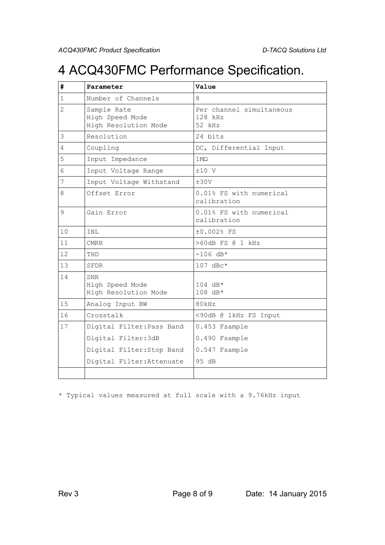## 4 ACQ430FMC Performance Specification.

| #              | Parameter                                              | Value                                         |  |
|----------------|--------------------------------------------------------|-----------------------------------------------|--|
| $\mathbf{1}$   | Number of Channels                                     | 8                                             |  |
| $\overline{2}$ | Sample Rate<br>High Speed Mode<br>High Resolution Mode | Per channel simultaneous<br>128 kHz<br>52 kHz |  |
| 3              | Resolution                                             | 24 bits                                       |  |
| 4              | Coupling                                               | DC, Differential Input                        |  |
| 5              | Input Impedance                                        | 1 M <sub>Q</sub>                              |  |
| 6              | Input Voltage Range                                    | $±10$ V                                       |  |
| 7              | Input Voltage Withstand                                | ±30V                                          |  |
| 8              | Offset Error                                           | 0.01% FS with numerical<br>calibration        |  |
| 9              | Gain Error                                             | 0.01% FS with numerical<br>calibration        |  |
| 10             | INL                                                    | ±0.002% FS                                    |  |
| 11             | <b>CMRR</b>                                            | >60dB FS @ 1 kHz                              |  |
| 12             | THD                                                    | $-106$ dB*                                    |  |
| 13             | SFDR                                                   | $107$ dBc*                                    |  |
| 14             | <b>SNR</b><br>High Speed Mode<br>High Resolution Mode  | 104 dB*<br>108 dB*                            |  |
| 15             | Analog Input BW                                        | 80kHz                                         |  |
| 16             | Crosstalk                                              | <90dB @ 1kHz FS Input                         |  |
| 17             | Digital Filter: Pass Band                              | 0.453 Fsample                                 |  |
|                | Digital Filter: 3dB                                    | 0.490 Fsample                                 |  |
|                | Digital Filter: Stop Band                              | 0.547 Fsample                                 |  |
|                | Digital Filter: Attenuate                              | 95 dB                                         |  |
|                |                                                        |                                               |  |

\* Typical values measured at full scale with a 9.76kHz input